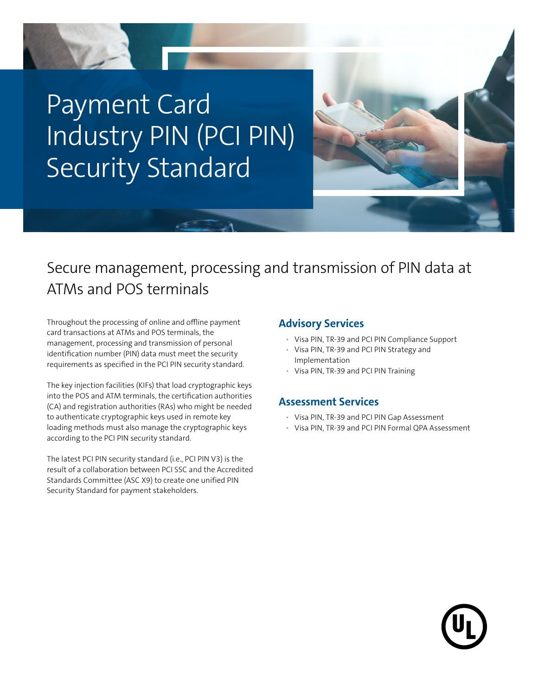

## Secure management, processing and transmission of PIN data at ATMs and POS terminals

Throughout the processing of online and offline payment card transactions at ATMs and POS terminals, the management, processing and transmission of personal identification number (PIN) data must meet the security requirements as specified in the PCI PIN security standard.

The key injection facilities (KIFs) that load cryptographic keys into the POS and ATM terminals, the certification authorities (CA) and registration authorities (RAs) who might be needed to authenticate cryptographic keys used in remote key loading methods must also manage the cryptographic keys according to the PCI PIN security standard.

The latest PCI PIN security standard (i.e., PCI PIN V3) is the result of a collaboration between PCI SSC and the Accredited Standards Committee (ASC X9) to create one unified PIN Security Standard for payment stakeholders.

#### **Advisory Services**

- Visa PIN, TR-39 and PCI PIN Compliance Support
- Visa PIN, TR-39 and PCI PIN Strategy and Implementation
- Visa PIN, TR-39 and PCI PIN Training

#### **Assessment Services**

- Visa PIN, TR-39 and PCI PIN Gap Assessment
- Visa PIN, TR-39 and PCI PIN Formal QPA Assessment